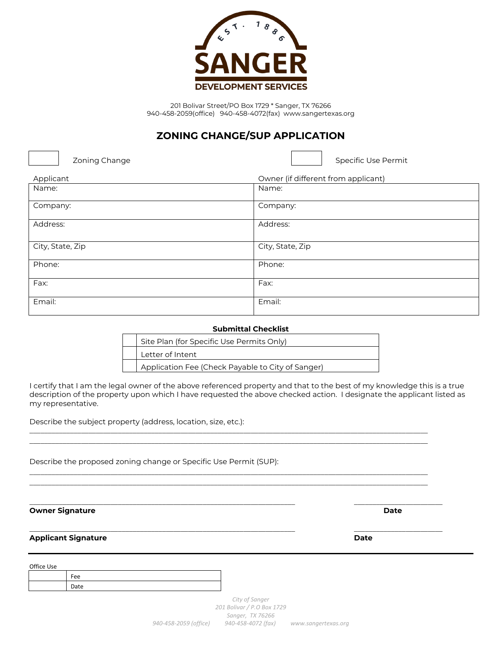

## **ZONING CHANGE/SUP APPLICATION**

Zoning Change **Specific Use Permit** Specific Use Permit

| Applicant        | Owner (if different from applicant) |
|------------------|-------------------------------------|
| Name:            | Name:                               |
| Company:         | Company:                            |
| Address:         | Address:                            |
| City, State, Zip | City, State, Zip                    |
| Phone:           | Phone:                              |
| Fax:             | Fax:                                |
| Email:           | Email:                              |

| <b>Submittal Checklist</b> |                                                   |  |
|----------------------------|---------------------------------------------------|--|
|                            | Site Plan (for Specific Use Permits Only)         |  |
|                            | Letter of Intent                                  |  |
|                            | Application Fee (Check Payable to City of Sanger) |  |

I certify that I am the legal owner of the above referenced property and that to the best of my knowledge this is a true description of the property upon which I have requested the above checked action. I designate the applicant listed as my representative.

\_\_\_\_\_\_\_\_\_\_\_\_\_\_\_\_\_\_\_\_\_\_\_\_\_\_\_\_\_\_\_\_\_\_\_\_\_\_\_\_\_\_\_\_\_\_\_\_\_\_\_\_\_\_\_\_\_\_\_\_\_\_\_\_\_\_\_\_\_\_\_\_\_\_\_\_\_\_\_\_\_\_\_\_\_\_\_\_\_\_\_\_\_\_\_\_\_\_\_\_\_\_\_\_\_\_\_\_ \_\_\_\_\_\_\_\_\_\_\_\_\_\_\_\_\_\_\_\_\_\_\_\_\_\_\_\_\_\_\_\_\_\_\_\_\_\_\_\_\_\_\_\_\_\_\_\_\_\_\_\_\_\_\_\_\_\_\_\_\_\_\_\_\_\_\_\_\_\_\_\_\_\_\_\_\_\_\_\_\_\_\_\_\_\_\_\_\_\_\_\_\_\_\_\_\_\_\_\_\_\_\_\_\_\_\_\_

\_\_\_\_\_\_\_\_\_\_\_\_\_\_\_\_\_\_\_\_\_\_\_\_\_\_\_\_\_\_\_\_\_\_\_\_\_\_\_\_\_\_\_\_\_\_\_\_\_\_\_\_\_\_\_\_\_\_\_\_\_\_\_\_\_\_\_\_\_\_\_\_\_\_\_\_\_\_\_\_\_\_\_\_\_\_\_\_\_\_\_\_\_\_\_\_\_\_\_\_\_\_\_\_\_\_\_\_ \_\_\_\_\_\_\_\_\_\_\_\_\_\_\_\_\_\_\_\_\_\_\_\_\_\_\_\_\_\_\_\_\_\_\_\_\_\_\_\_\_\_\_\_\_\_\_\_\_\_\_\_\_\_\_\_\_\_\_\_\_\_\_\_\_\_\_\_\_\_\_\_\_\_\_\_\_\_\_\_\_\_\_\_\_\_\_\_\_\_\_\_\_\_\_\_\_\_\_\_\_\_\_\_\_\_\_\_

 $\_$  , and the set of the set of the set of the set of the set of the set of the set of the set of the set of the set of the set of the set of the set of the set of the set of the set of the set of the set of the set of th

Describe the subject property (address, location, size, etc.):

Describe the proposed zoning change or Specific Use Permit (SUP):

**Owner Signature Date**

 $\_$  , and the set of the set of the set of the set of the set of the set of the set of the set of the set of the set of the set of the set of the set of the set of the set of the set of the set of the set of the set of th

**Applicant Signature Date**

Office Use

| $\sim$ $\sim$ |
|---------------|
| Jate<br>ーーいし  |

*City of Sanger 201 Bolivar / P.O Box 1729 Sanger, TX 76266 940-458-2059 (office) 940-458-4072 (fax) www.sangertexas.org*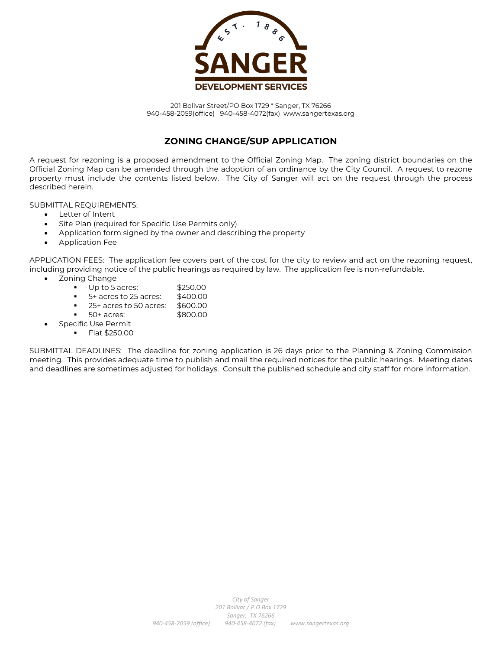

#### **ZONING CHANGE/SUP APPLICATION**

A request for rezoning is a proposed amendment to the Official Zoning Map. The zoning district boundaries on the Official Zoning Map can be amended through the adoption of an ordinance by the City Council. A request to rezone property must include the contents listed below. The City of Sanger will act on the request through the process described herein.

SUBMITTAL REQUIREMENTS:

- Letter of Intent
- Site Plan (required for Specific Use Permits only)
- Application form signed by the owner and describing the property
- Application Fee

APPLICATION FEES: The application fee covers part of the cost for the city to review and act on the rezoning request, including providing notice of the public hearings as required by law. The application fee is non-refundable.

- Zoning Change
	- Up to 5 acres: \$250.00
	- $\blacksquare$  5+ acres to 25 acres: \$400.00
	- 25+ acres to 50 acres: \$600.00
	- 50+ acres: \$800.00
	- Specific Use Permit **Flat \$250.00**

SUBMITTAL DEADLINES: The deadline for zoning application is 26 days prior to the Planning & Zoning Commission meeting. This provides adequate time to publish and mail the required notices for the public hearings. Meeting dates and deadlines are sometimes adjusted for holidays. Consult the published schedule and city staff for more information.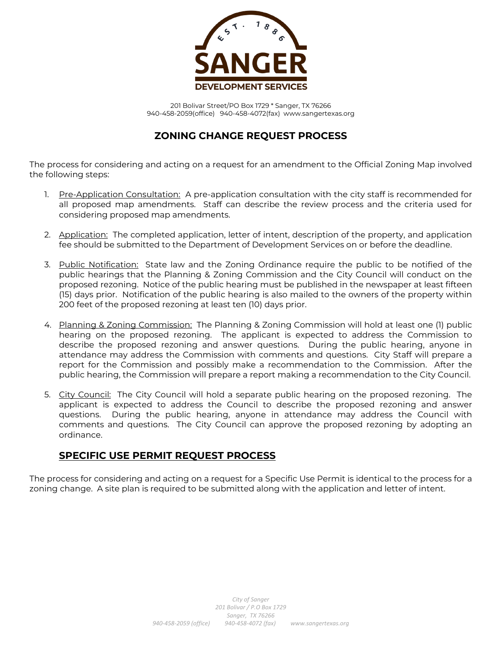

### **ZONING CHANGE REQUEST PROCESS**

The process for considering and acting on a request for an amendment to the Official Zoning Map involved the following steps:

- 1. Pre-Application Consultation: A pre-application consultation with the city staff is recommended for all proposed map amendments. Staff can describe the review process and the criteria used for considering proposed map amendments.
- 2. Application: The completed application, letter of intent, description of the property, and application fee should be submitted to the Department of Development Services on or before the deadline.
- 3. Public Notification: State law and the Zoning Ordinance require the public to be notified of the public hearings that the Planning & Zoning Commission and the City Council will conduct on the proposed rezoning. Notice of the public hearing must be published in the newspaper at least fifteen (15) days prior. Notification of the public hearing is also mailed to the owners of the property within 200 feet of the proposed rezoning at least ten (10) days prior.
- 4. Planning & Zoning Commission: The Planning & Zoning Commission will hold at least one (1) public hearing on the proposed rezoning. The applicant is expected to address the Commission to describe the proposed rezoning and answer questions. During the public hearing, anyone in attendance may address the Commission with comments and questions. City Staff will prepare a report for the Commission and possibly make a recommendation to the Commission. After the public hearing, the Commission will prepare a report making a recommendation to the City Council.
- 5. City Council: The City Council will hold a separate public hearing on the proposed rezoning. The applicant is expected to address the Council to describe the proposed rezoning and answer questions. During the public hearing, anyone in attendance may address the Council with comments and questions. The City Council can approve the proposed rezoning by adopting an ordinance.

### **SPECIFIC USE PERMIT REQUEST PROCESS**

The process for considering and acting on a request for a Specific Use Permit is identical to the process for a zoning change. A site plan is required to be submitted along with the application and letter of intent.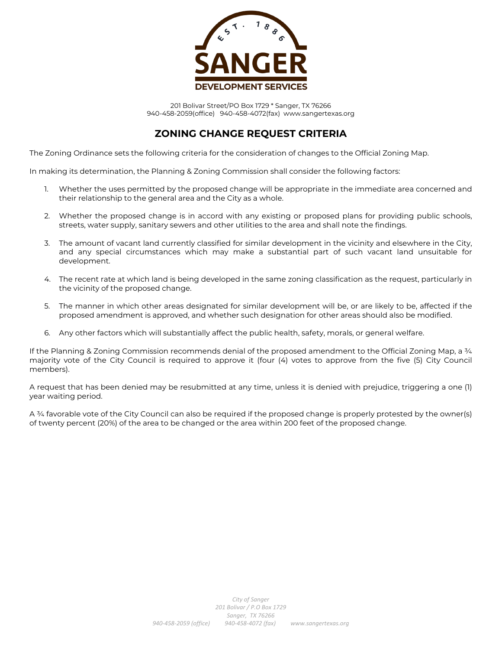

### **ZONING CHANGE REQUEST CRITERIA**

The Zoning Ordinance sets the following criteria for the consideration of changes to the Official Zoning Map.

In making its determination, the Planning & Zoning Commission shall consider the following factors:

- 1. Whether the uses permitted by the proposed change will be appropriate in the immediate area concerned and their relationship to the general area and the City as a whole.
- 2. Whether the proposed change is in accord with any existing or proposed plans for providing public schools, streets, water supply, sanitary sewers and other utilities to the area and shall note the findings.
- 3. The amount of vacant land currently classified for similar development in the vicinity and elsewhere in the City, and any special circumstances which may make a substantial part of such vacant land unsuitable for development.
- 4. The recent rate at which land is being developed in the same zoning classification as the request, particularly in the vicinity of the proposed change.
- 5. The manner in which other areas designated for similar development will be, or are likely to be, affected if the proposed amendment is approved, and whether such designation for other areas should also be modified.
- 6. Any other factors which will substantially affect the public health, safety, morals, or general welfare.

If the Planning & Zoning Commission recommends denial of the proposed amendment to the Official Zoning Map, a 34 majority vote of the City Council is required to approve it (four (4) votes to approve from the five (5) City Council members).

A request that has been denied may be resubmitted at any time, unless it is denied with prejudice, triggering a one (1) year waiting period.

A ¾ favorable vote of the City Council can also be required if the proposed change is properly protested by the owner(s) of twenty percent (20%) of the area to be changed or the area within 200 feet of the proposed change.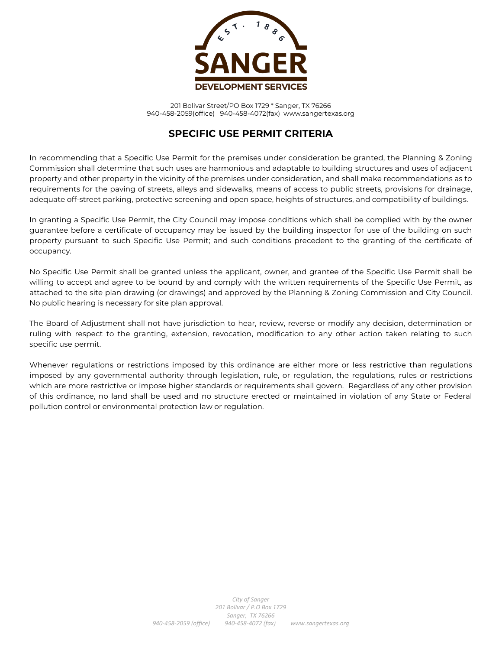

#### **SPECIFIC USE PERMIT CRITERIA**

In recommending that a Specific Use Permit for the premises under consideration be granted, the Planning & Zoning Commission shall determine that such uses are harmonious and adaptable to building structures and uses of adjacent property and other property in the vicinity of the premises under consideration, and shall make recommendations as to requirements for the paving of streets, alleys and sidewalks, means of access to public streets, provisions for drainage, adequate off-street parking, protective screening and open space, heights of structures, and compatibility of buildings.

In granting a Specific Use Permit, the City Council may impose conditions which shall be complied with by the owner guarantee before a certificate of occupancy may be issued by the building inspector for use of the building on such property pursuant to such Specific Use Permit; and such conditions precedent to the granting of the certificate of occupancy.

No Specific Use Permit shall be granted unless the applicant, owner, and grantee of the Specific Use Permit shall be willing to accept and agree to be bound by and comply with the written requirements of the Specific Use Permit, as attached to the site plan drawing (or drawings) and approved by the Planning & Zoning Commission and City Council. No public hearing is necessary for site plan approval.

The Board of Adjustment shall not have jurisdiction to hear, review, reverse or modify any decision, determination or ruling with respect to the granting, extension, revocation, modification to any other action taken relating to such specific use permit.

Whenever regulations or restrictions imposed by this ordinance are either more or less restrictive than regulations imposed by any governmental authority through legislation, rule, or regulation, the regulations, rules or restrictions which are more restrictive or impose higher standards or requirements shall govern. Regardless of any other provision of this ordinance, no land shall be used and no structure erected or maintained in violation of any State or Federal pollution control or environmental protection law or regulation.